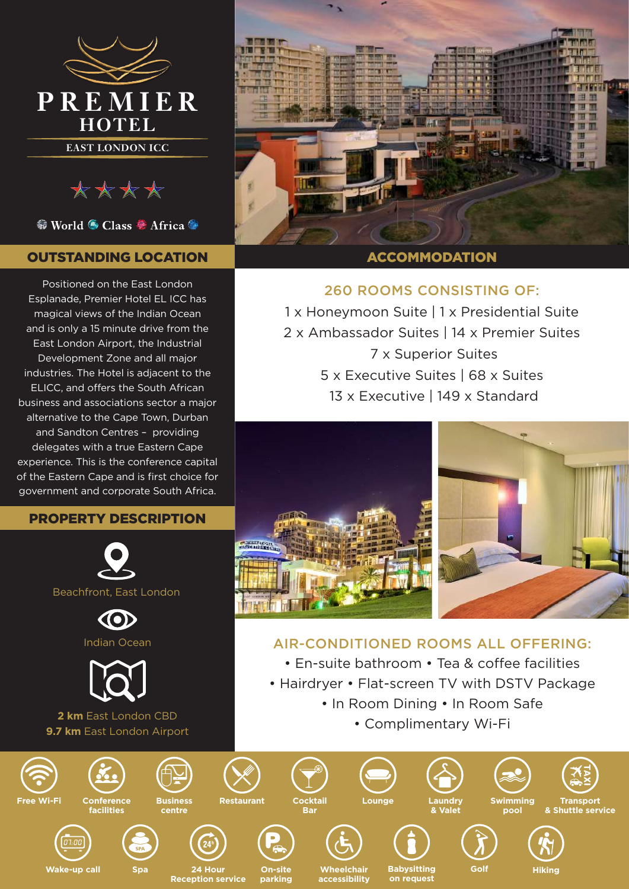

\*\*\*\*

● World ● Class ● Africa ●

# OUTSTANDING LOCATION

Positioned on the East London Esplanade, Premier Hotel EL ICC has magical views of the Indian Ocean and is only a 15 minute drive from the East London Airport, the Industrial Development Zone and all major industries. The Hotel is adjacent to the ELICC, and offers the South African business and associations sector a major alternative to the Cape Town, Durban and Sandton Centres – providing delegates with a true Eastern Cape experience. This is the conference capital of the Eastern Cape and is first choice for government and corporate South Africa.

# PROPERTY DESCRIPTION







**2 km** East London CBD **9.7 km** East London Airport

**Reception service**



# **ACCOMMODATION**

# 260 ROOMS CONSISTING OF:

1 x Honeymoon Suite | 1 x Presidential Suite 2 x Ambassador Suites | 14 x Premier Suites 7 x Superior Suites 5 x Executive Suites | 68 x Suites 13 x Executive | 149 x Standard



# AIR-CONDITIONED ROOMS ALL OFFERING:

• En-suite bathroom • Tea & coffee facilities

- Hairdryer Flat-screen TV with DSTV Package
	- In Room Dining In Room Safe
		- Complimentary Wi-Fi

**on request**



**parking**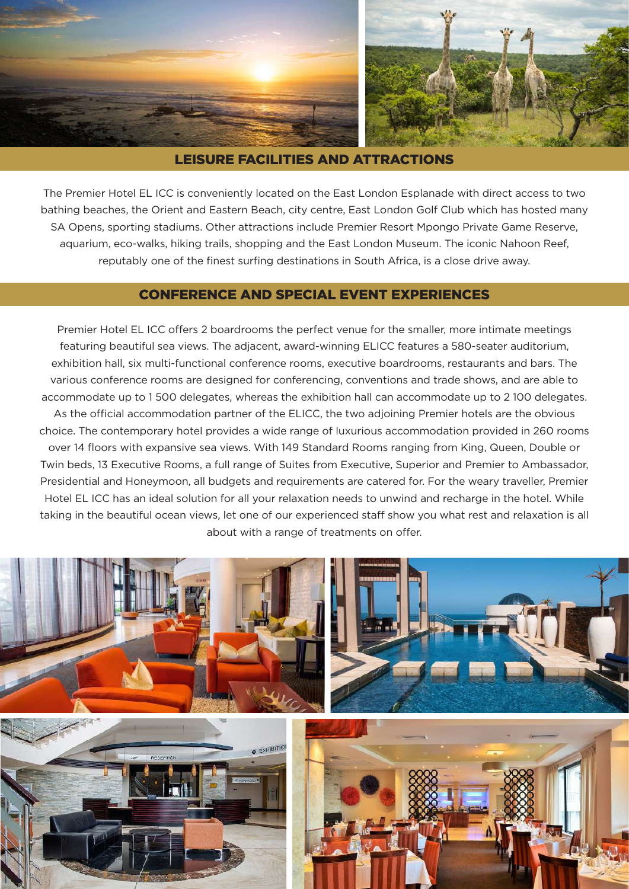

#### LEISURE FACILITIES AND ATTRACTIONS

The Premier Hotel EL ICC is conveniently located on the East London Esplanade with direct access to two bathing beaches, the Orient and Eastern Beach, city centre, East London Golf Club which has hosted many SA Opens, sporting stadiums. Other attractions include Premier Resort Mpongo Private Game Reserve, aquarium, eco-walks, hiking trails, shopping and the East London Museum. The iconic Nahoon Reef, reputably one of the finest surfing destinations in South Africa, is a close drive away.

## CONFERENCE AND SPECIAL EVENT EXPERIENCES

Premier Hotel EL ICC offers 2 boardrooms the perfect venue for the smaller, more intimate meetings featuring beautiful sea views. The adjacent, award-winning ELICC features a 580-seater auditorium, exhibition hall, six multi-functional conference rooms, executive boardrooms, restaurants and bars. The various conference rooms are designed for conferencing, conventions and trade shows, and are able to accommodate up to 1 500 delegates, whereas the exhibition hall can accommodate up to 2 100 delegates. As the official accommodation partner of the ELICC, the two adjoining Premier hotels are the obvious choice. The contemporary hotel provides a wide range of luxurious accommodation provided in 260 rooms over 14 floors with expansive sea views. With 149 Standard Rooms ranging from King, Queen, Double or Twin beds, 13 Executive Rooms, a full range of Suites from Executive, Superior and Premier to Ambassador, Presidential and Honeymoon, all budgets and requirements are catered for. For the weary traveller, Premier Hotel EL ICC has an ideal solution for all your relaxation needs to unwind and recharge in the hotel. While taking in the beautiful ocean views, let one of our experienced staff show you what rest and relaxation is all about with a range of treatments on offer.